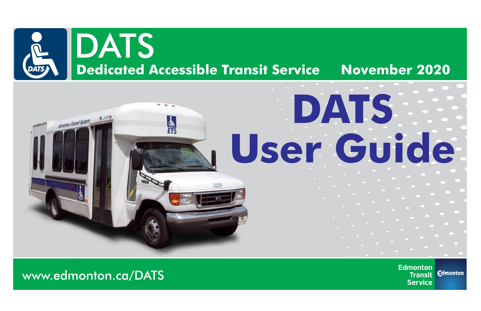

# **DATS Edmonton Transit System User Guide**

**Edmonton Edmonton Transit Service** 

www.edmonton.ca/DATS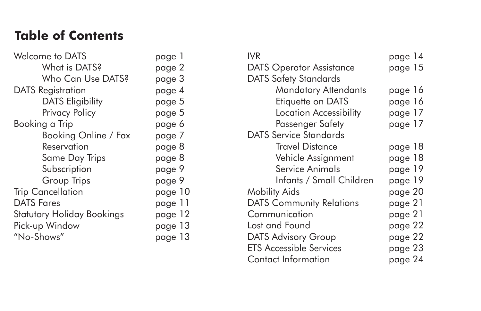#### **Table of Contents**

| <b>Welcome to DATS</b>            | page 1  |
|-----------------------------------|---------|
| What is DATS?                     | page 2  |
| Who Can Use DATS?                 | page 3  |
| <b>DATS</b> Registration          | page 4  |
| <b>DATS Eligibility</b>           | page 5  |
| Privacy Policy                    | page 5  |
| Booking a Trip                    | page 6  |
| Booking Online / Fax              | page 7  |
| Reservation                       | page 8  |
| Same Day Trips                    | page 8  |
| Subscription                      | page 9  |
| Group Trips                       | page 9  |
| <b>Trip Cancellation</b>          | page 10 |
| <b>DATS Fares</b>                 | page 11 |
| <b>Statutory Holiday Bookings</b> | page 12 |
| Pick-up Window                    | page 13 |
| "No-Shows"                        | page 13 |

| <b>IVR</b>                      | page 14 |
|---------------------------------|---------|
| <b>DATS Operator Assistance</b> | page 15 |
| <b>DATS Safety Standards</b>    |         |
| <b>Mandatory Attendants</b>     | page 16 |
| Etiquette on DATS               | page 16 |
| <b>Location Accessibility</b>   | page 17 |
| Passenger Safety                | page 17 |
| <b>DATS Service Standards</b>   |         |
| <b>Travel Distance</b>          | page 18 |
| Vehicle Assignment              | page 18 |
| Service Animals                 | page 19 |
| Infants / Small Children        | page 19 |
| <b>Mobility Aids</b>            | page 20 |
| <b>DATS Community Relations</b> | page 21 |
| Communication                   | page 21 |
| Lost and Found                  | page 22 |
| <b>DATS Advisory Group</b>      | page 22 |
| <b>ETS Accessible Services</b>  | page 23 |
| <b>Contact Information</b>      | page 24 |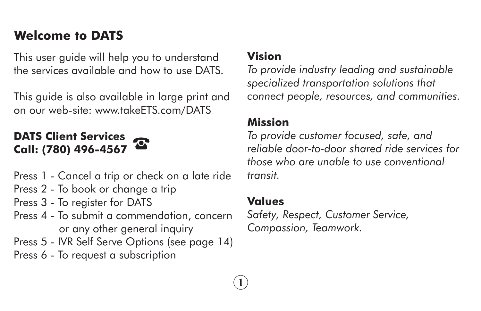## **Welcome to DATS**

This user guide will help you to understand the services available and how to use DATS.

This guide is also available in large print and on our web-site: www.takeETS.com/DATS

#### **DATS Client Services Call: (780) 496-4567**



- Press 2 To book or change a trip
- Press 3 To register for DATS
- Press 4 To submit a commendation, concern or any other general inquiry

Press 5 - IVR Self Serve Options (see page 14)

Press 6 - To request a subscription

#### **Vision**

*To provide industry leading and sustainable specialized transportation solutions that connect people, resources, and communities.*

#### **Mission**

*To provide customer focused, safe, and reliable door-to-door shared ride services for those who are unable to use conventional transit.*

#### **Values**

**1**

*Safety, Respect, Customer Service, Compassion, Teamwork.*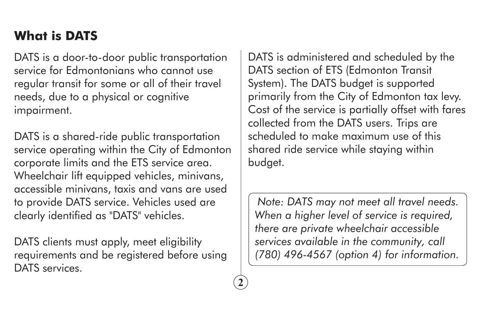# **What is DATS**

DATS is a door-to-door public transportation service for Edmontonians who cannot use regular transit for some or all of their travel needs, due to a physical or cognitive impairment.

DATS is a shared-ride public transportation service operating within the City of Edmonton corporate limits and the ETS service area. Wheelchair lift equipped vehicles, minivans, accessible minivans, taxis and vans are used to provide DATS service. Vehicles used are clearly identified as "DATS" vehicles.

DATS clients must apply, meet eligibility requirements and be registered before using DATS services.

**2**

DATS is administered and scheduled by the DATS section of ETS (Edmonton Transit System). The DATS budget is supported primarily from the City of Edmonton tax levy. Cost of the service is partially offset with fares collected from the DATS users. Trips are scheduled to make maximum use of this shared ride service while staying within budget.

*Note: DATS may not meet all travel needs. When a higher level of service is required, there are private wheelchair accessible services available in the community, call (780) 496-4567 (option 4) for information.*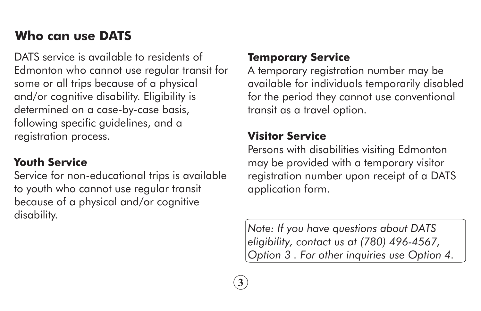# **Who can use DATS**

DATS service is available to residents of Edmonton who cannot use regular transit for some or all trips because of a physical and/or cognitive disability. Eligibility is determined on a case-by-case basis, following specific guidelines, and a registration process.

#### **Youth Service**

Service for non-educational trips is available to youth who cannot use regular transit because of a physical and/or cognitive disability.

#### **Temporary Service**

A temporary registration number may be available for individuals temporarily disabled for the period they cannot use conventional transit as a travel option.

#### **Visitor Service**

**3**

Persons with disabilities visiting Edmonton may be provided with a temporary visitor registration number upon receipt of a DATS application form.

*Note: If you have questions about DATS eligibility, contact us at (780) 496-4567, Option 3 . For other inquiries use Option 4.*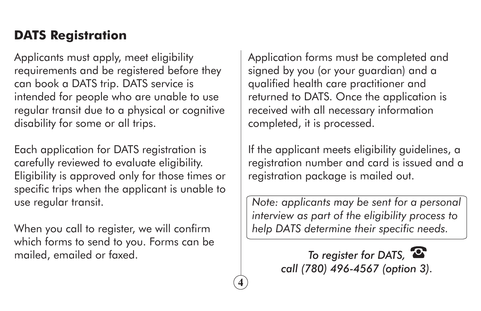#### **DATS Registration**

Applicants must apply, meet eligibility requirements and be registered before they can book a DATS trip. DATS service is intended for people who are unable to use regular transit due to a physical or cognitive disability for some or all trips.

Each application for DATS registration is carefully reviewed to evaluate eligibility. Eligibility is approved only for those times or specific trips when the applicant is unable to use regular transit.

When you call to register, we will confirm which forms to send to you. Forms can be mailed, emailed or faxed.

Application forms must be completed and signed by you (or your guardian) and a qualified health care practitioner and returned to DATS. Once the application is received with all necessary information completed, it is processed.

If the applicant meets eligibility guidelines, a registration number and card is issued and a registration package is mailed out.

*Note: applicants may be sent for a personal interview as part of the eligibility process to help DATS determine their specific needs.*

> *To register for DATS, call (780) 496-4567 (option 3).*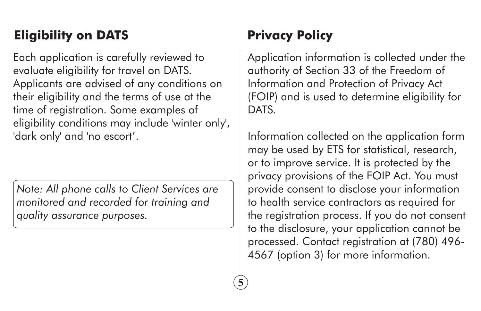# **Eligibility on DATS**

Each application is carefully reviewed to evaluate eligibility for travel on DATS. Applicants are advised of any conditions on their eligibility and the terms of use at the time of registration. Some examples of eligibility conditions may include 'winter only', 'dark only' and 'no escort'.

*Note: All phone calls to Client Services are monitored and recorded for training and quality assurance purposes.*

# **Privacy Policy**

Application information is collected under the authority of Section 33 of the Freedom of Information and Protection of Privacy Act (FOIP) and is used to determine eligibility for DATS.

Information collected on the application form may be used by ETS for statistical, research, or to improve service. It is protected by the privacy provisions of the FOIP Act. You must provide consent to disclose your information to health service contractors as required for the registration process. If you do not consent to the disclosure, your application cannot be processed. Contact registration at (780) 496- 4567 (option 3) for more information.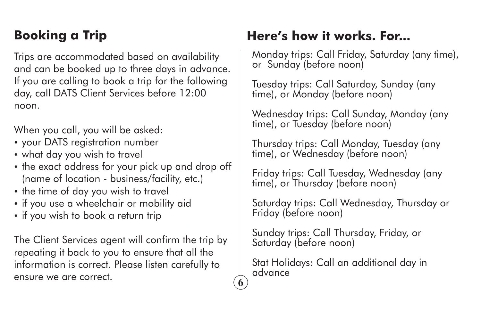# **Booking a Trip**

Trips are accommodated based on availability and can be booked up to three days in advance. If you are calling to book a trip for the following day, call DATS Client Services before 12:00 noon.

When you call, you will be asked:

- your DATS registration number
- what day you wish to travel
- the exact address for your pick up and drop off (name of location - business/facility, etc.)
- the time of day you wish to travel
- if you use a wheelchair or mobility aid
- if you wish to book a return trip

The Client Services agent will confirm the trip by repeating it back to you to ensure that all the information is correct. Please listen carefully to ensure we are correct.

## **Here's how it works. For...**

Monday trips: Call Friday, Saturday (any time), or Sunday (before noon)

Tuesday trips: Call Saturday, Sunday (any time), or Monday (before noon)

Wednesday trips: Call Sunday, Monday (any time), or Tuesday (before noon)

Thursday trips: Call Monday, Tuesday (any time), or Wednesday (before noon)

Friday trips: Call Tuesday, Wednesday (any time), or Thursday (before noon)

Saturday trips: Call Wednesday, Thursday or Friday (before noon)

Sunday trips: Call Thursday, Friday, or Saturday (before noon)

Stat Holidays: Call an additional day in advance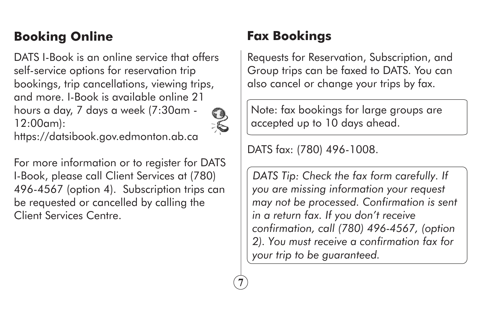# **Booking Online**

DATS I-Book is an online service that offers self-service options for reservation trip bookings, trip cancellations, viewing trips, and more. I-Book is available online 21 hours a day, 7 days a week (7:30am - 12:00am):



**7**

https://datsibook.gov.edmonton.ab.ca

For more information or to register for DATS I-Book, please call Client Services at (780) 496-4567 (option 4). Subscription trips can be requested or cancelled by calling the Client Services Centre.

# **Fax Bookings**

Requests for Reservation, Subscription, and Group trips can be faxed to DATS. You can also cancel or change your trips by fax.

Note: fax bookings for large groups are accepted up to 10 days ahead.

DATS fax: (780) 496-1008.

*DATS Tip: Check the fax form carefully. If you are missing information your request may not be processed. Confirmation is sent in a return fax. If you don't receive confirmation, call (780) 496-4567, (option 2). You must receive a confirmation fax for your trip to be guaranteed.*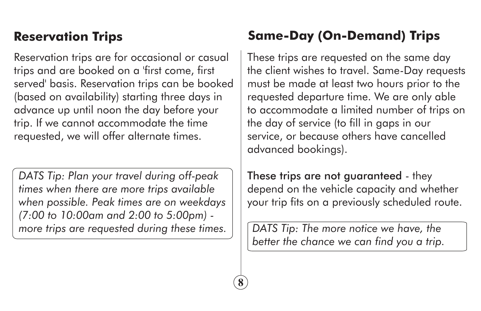#### **Reservation Trips**

Reservation trips are for occasional or casual trips and are booked on a 'first come, first served' basis. Reservation trips can be booked (based on availability) starting three days in advance up until noon the day before your trip. If we cannot accommodate the time requested, we will offer alternate times.

*DATS Tip: Plan your travel during off-peak times when there are more trips available when possible. Peak times are on weekdays (7:00 to 10:00am and 2:00 to 5:00pm) more trips are requested during these times.*

# **Same-Day (On-Demand) Trips**

These trips are requested on the same day the client wishes to travel. Same-Day requests must be made at least two hours prior to the requested departure time. We are only able to accommodate a limited number of trips on the day of service (to fill in gaps in our service, or because others have cancelled advanced bookings).

These trips are not guaranteed - they depend on the vehicle capacity and whether your trip fits on a previously scheduled route.

*DATS Tip: The more notice we have, the better the chance we can find you a trip.*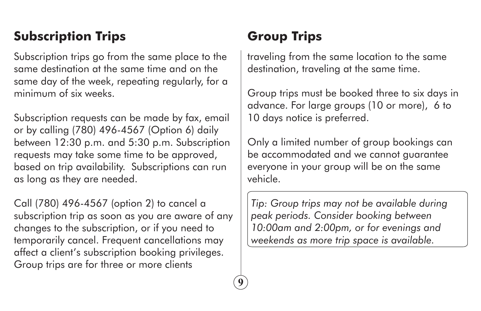# **Subscription Trips**

Subscription trips go from the same place to the same destination at the same time and on the same day of the week, repeating regularly, for a minimum of six weeks.

Subscription requests can be made by fax, email or by calling (780) 496-4567 (Option 6) daily between 12:30 p.m. and 5:30 p.m. Subscription requests may take some time to be approved, based on trip availability. Subscriptions can run as long as they are needed.

Call (780) 496-4567 (option 2) to cancel a subscription trip as soon as you are aware of any changes to the subscription, or if you need to temporarily cancel. Frequent cancellations may affect a client's subscription booking privileges. Group trips are for three or more clients

# **Group Trips**

**9**

traveling from the same location to the same destination, traveling at the same time.

Group trips must be booked three to six days in advance. For large groups (10 or more), 6 to 10 days notice is preferred.

Only a limited number of group bookings can be accommodated and we cannot guarantee everyone in your group will be on the same vehicle.

*Tip: Group trips may not be available during peak periods. Consider booking between 10:00am and 2:00pm, or for evenings and weekends as more trip space is available.*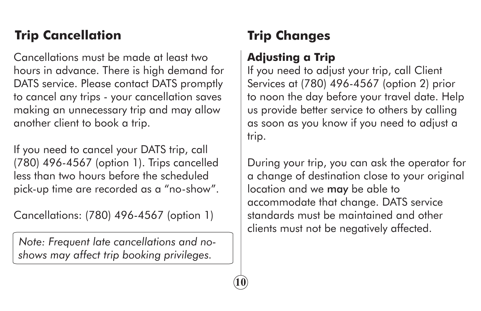# **Trip Cancellation**

Cancellations must be made at least two hours in advance. There is high demand for DATS service. Please contact DATS promptly to cancel any trips - your cancellation saves making an unnecessary trip and may allow another client to book a trip.

If you need to cancel your DATS trip, call (780) 496-4567 (option 1). Trips cancelled less than two hours before the scheduled pick-up time are recorded as a "no-show".

Cancellations: (780) 496-4567 (option 1)

*Note: Frequent late cancellations and noshows may affect trip booking privileges.* 

# **Trip Changes**

#### **Adjusting a Trip**

**10**

If you need to adjust your trip, call Client Services at (780) 496-4567 (option 2) prior to noon the day before your travel date. Help us provide better service to others by calling as soon as you know if you need to adjust a trip.

During your trip, you can ask the operator for a change of destination close to your original location and we may be able to accommodate that change. DATS service standards must be maintained and other clients must not be negatively affected.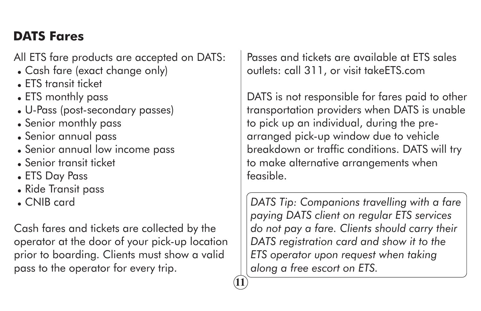# **DATS Fares**

All ETS fare products are accepted on DATS:

- Cash fare (exact change only)
- $\blacksquare$  FTS transit ticket
- ETS monthly pass
- U-Pass (post-secondary passes)
- Senior monthly pass
- Senior annual pass
- Senior annual low income pass
- <sup>=</sup> Senior transit ticket
- ETS Day Pass
- Ride Transit pass
- CNIB card

Cash fares and tickets are collected by the operator at the door of your pick-up location prior to boarding. Clients must show a valid pass to the operator for every trip.

**11**

Passes and tickets are available at ETS sales outlets: call 311, or visit takeETS.com

DATS is not responsible for fares paid to other transportation providers when DATS is unable to pick up an individual, during the prearranged pick-up window due to vehicle breakdown or traffic conditions. DATS will try to make alternative arrangements when feasible.

*DATS Tip: Companions travelling with a fare paying DATS client on regular ETS services do not pay a fare. Clients should carry their DATS registration card and show it to the ETS operator upon request when taking along a free escort on ETS.*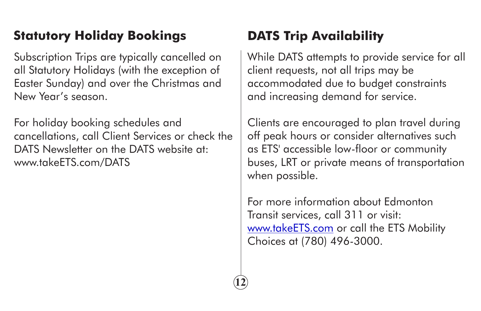# **Statutory Holiday Bookings DATS Trip Availability**

Subscription Trips are typically cancelled on all Statutory Holidays (with the exception of Easter Sunday) and over the Christmas and New Year's season.

For holiday booking schedules and cancellations, call Client Services or check the DATS Newsletter on the DATS website at: www.takeETS.com/DATS

While DATS attempts to provide service for all client requests, not all trips may be accommodated due to budget constraints and increasing demand for service.

Clients are encouraged to plan travel during off peak hours or consider alternatives such as ETS' accessible low-floor or community buses, LRT or private means of transportation when possible.

For more information about Edmonton Transit services, call 311 or visit: www.takeETS.com or call the ETS Mobility Choices at (780) 496-3000.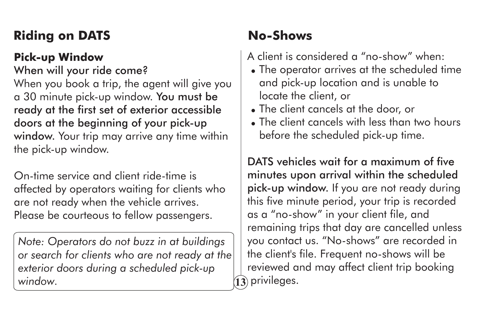# **Riding on DATS**

#### **Pick-up Window**

When will your ride come? When you book a trip, the agent will give you a 30 minute pick-up window. You must be ready at the first set of exterior accessible doors at the beginning of your pick-up window. Your trip may arrive any time within the pick-up window.

On-time service and client ride-time is affected by operators waiting for clients who are not ready when the vehicle arrives. Please be courteous to fellow passengers.

*Note: Operators do not buzz in at buildings or search for clients who are not ready at the exterior doors during a scheduled pick-up window.* 

# **No-Shows**

A client is considered a "no-show" when:

- The operator arrives at the scheduled time and pick-up location and is unable to locate the client, or
- The client cancels at the door, or
- The client cancels with less than two hours before the scheduled pick-up time.

DATS vehicles wait for a maximum of five minutes upon arrival within the scheduled pick-up window. If you are not ready during this five minute period, your trip is recorded as a "no-show" in your client file, and remaining trips that day are cancelled unless you contact us. "No-shows" are recorded in the client's file. Frequent no-shows will be reviewed and may affect client trip booking  $\widehat{\mathbf{13}}$  privileges.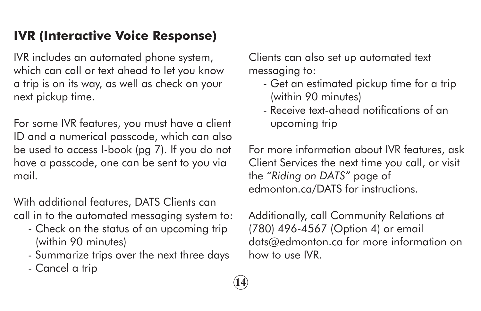## **IVR (Interactive Voice Response)**

IVR includes an automated phone system, which can call or text ahead to let you know a trip is on its way, as well as check on your next pickup time.

For some IVR features, you must have a client ID and a numerical passcode, which can also be used to access I-book (pg 7). If you do not have a passcode, one can be sent to you via mail.

With additional features, DATS Clients can call in to the automated messaging system to:

- Check on the status of an upcoming trip (within 90 minutes)
- Summarize trips over the next three days

**14**

- Cancel a trip

Clients can also set up automated text messaging to:

- Get an estimated pickup time for a trip (within 90 minutes)
- Receive text-ahead notifications of an upcoming trip

For more information about IVR features, ask Client Services the next time you call, or visit the *"Riding on DATS"* page of edmonton.ca/DATS for instructions.

Additionally, call Community Relations at (780) 496-4567 (Option 4) or email dats@edmonton.ca for more information on how to use IVR.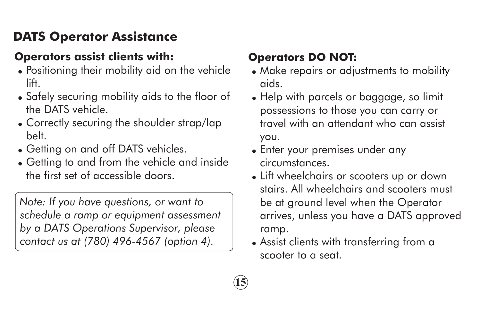# **DATS Operator Assistance**

#### **Operators assist clients with:**

- Positioning their mobility aid on the vehicle lift.
- Safely securing mobility aids to the floor of the DATS vehicle.
- Correctly securing the shoulder strap/lap belt.
- Getting on and off DATS vehicles.
- Getting to and from the vehicle and inside the first set of accessible doors.

*Note: If you have questions, or want to schedule a ramp or equipment assessment by a DATS Operations Supervisor, please contact us at (780) 496-4567 (option 4).* 

# **Operators DO NOT:**

- Make repairs or adjustments to mobility aids.
- Help with parcels or baggage, so limit possessions to those you can carry or travel with an attendant who can assist you.
- Enter your premises under any circumstances.
- Lift wheelchairs or scooters up or down stairs. All wheelchairs and scooters must be at ground level when the Operator arrives, unless you have a DATS approved ramp.
- Assist clients with transferring from a scooter to a seat.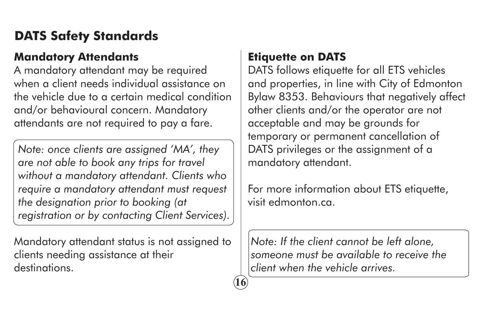## **DATS Safety Standards**

#### **Mandatory Attendants**

A mandatory attendant may be required when a client needs individual assistance on the vehicle due to a certain medical condition and/or behavioural concern. Mandatory attendants are not required to pay a fare.

*Note: once clients are assigned 'MA', they are not able to book any trips for travel without a mandatory attendant. Clients who require a mandatory attendant must request the designation prior to booking (at registration or by contacting Client Services).* 

Mandatory attendant status is not assigned to clients needing assistance at their destinations.

#### **Etiquette on DATS**

**16**

DATS follows etiquette for all ETS vehicles and properties, in line with City of Edmonton Bylaw 8353. Behaviours that negatively affect other clients and/or the operator are not acceptable and may be grounds for temporary or permanent cancellation of DATS privileges or the assignment of a mandatory attendant.

For more information about ETS etiquette, visit edmonton.ca.

*Note: If the client cannot be left alone, someone must be available to receive the client when the vehicle arrives.*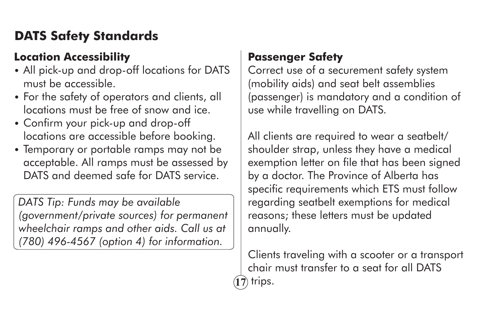# **DATS Safety Standards**

#### **Location Accessibility**

- All pick-up and drop-off locations for DATS must be accessible.
- For the safety of operators and clients, all locations must be free of snow and ice.
- Confirm your pick-up and drop-off locations are accessible before booking.
- Temporary or portable ramps may not be acceptable. All ramps must be assessed by DATS and deemed safe for DATS service.

*DATS Tip: Funds may be available (government/private sources) for permanent wheelchair ramps and other aids. Call us at (780) 496-4567 (option 4) for information.*

#### **Passenger Safety**

Correct use of a securement safety system (mobility aids) and seat belt assemblies (passenger) is mandatory and a condition of use while travelling on DATS.

All clients are required to wear a seatbelt/ shoulder strap, unless they have a medical exemption letter on file that has been signed by a doctor. The Province of Alberta has specific requirements which ETS must follow regarding seatbelt exemptions for medical reasons; these letters must be updated annually.

Clients traveling with a scooter or a transport chair must transfer to a seat for all DATS **17** trips.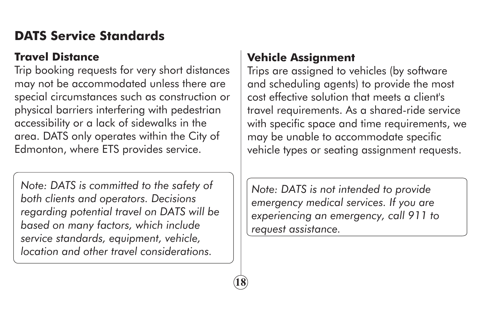# **DATS Service Standards**

#### **Travel Distance**

Trip booking requests for very short distances may not be accommodated unless there are special circumstances such as construction or physical barriers interfering with pedestrian accessibility or a lack of sidewalks in the area. DATS only operates within the City of Edmonton, where ETS provides service.

*Note: DATS is committed to the safety of both clients and operators. Decisions regarding potential travel on DATS will be based on many factors, which include service standards, equipment, vehicle, location and other travel considerations.*

#### **Vehicle Assignment**

Trips are assigned to vehicles (by software and scheduling agents) to provide the most cost effective solution that meets a client's travel requirements. As a shared-ride service with specific space and time requirements, we may be unable to accommodate specific vehicle types or seating assignment requests.

*Note: DATS is not intended to provide emergency medical services. If you are experiencing an emergency, call 911 to request assistance.*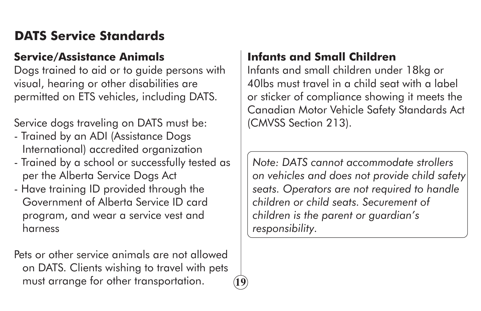# **DATS Service Standards**

#### **Service/Assistance Animals**

Dogs trained to aid or to guide persons with visual, hearing or other disabilities are permitted on ETS vehicles, including DATS.

Service dogs traveling on DATS must be:

- Trained by an ADI (Assistance Dogs International) accredited organization
- Trained by a school or successfully tested as per the Alberta Service Dogs Act
- Have training ID provided through the Government of Alberta Service ID card program, and wear a service vest and harness

Pets or other service animals are not allowed on DATS. Clients wishing to travel with pets must arrange for other transportation.

**19**

#### **Infants and Small Children**

Infants and small children under 18kg or 40lbs must travel in a child seat with a label or sticker of compliance showing it meets the Canadian Motor Vehicle Safety Standards Act (CMVSS Section 213).

*Note: DATS cannot accommodate strollers on vehicles and does not provide child safety seats. Operators are not required to handle children or child seats. Securement of children is the parent or guardian's responsibility.*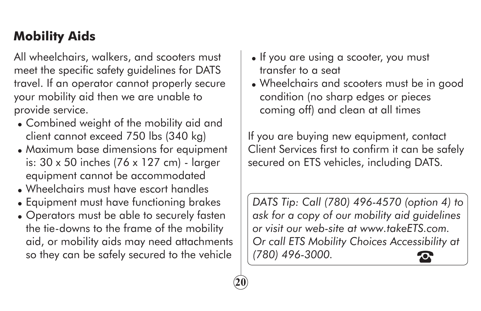# **Mobility Aids**

All wheelchairs, walkers, and scooters must meet the specific safety guidelines for DATS travel. If an operator cannot properly secure your mobility aid then we are unable to provide service.

- Combined weight of the mobility aid and client cannot exceed 750 lbs (340 kg)
- Maximum base dimensions for equipment is: 30 x 50 inches (76 x 127 cm) - larger equipment cannot be accommodated
- Wheelchairs must have escort handles
- Equipment must have functioning brakes
- Operators must be able to securely fasten the tie-downs to the frame of the mobility aid, or mobility aids may need attachments so they can be safely secured to the vehicle

**20**

- If you are using a scooter, you must transfer to a seat
- Wheelchairs and scooters must be in good condition (no sharp edges or pieces coming off) and clean at all times

If you are buying new equipment, contact Client Services first to confirm it can be safely secured on ETS vehicles, including DATS.

*DATS Tip: Call (780) 496-4570 (option 4) to ask for a copy of our mobility aid guidelines or visit our web-site at www.takeETS.com. Or call ETS Mobility Choices Accessibility at (780) 496-3000.*  $\boldsymbol{\mathsf{C}}$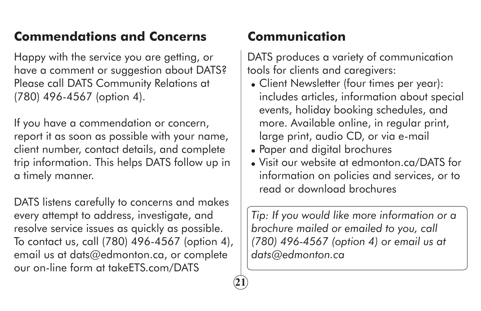# **Commendations and Concerns**

Happy with the service you are getting, or have a comment or suggestion about DATS? Please call DATS Community Relations at (780) 496-4567 (option 4).

If you have a commendation or concern, report it as soon as possible with your name, client number, contact details, and complete trip information. This helps DATS follow up in a timely manner.

DATS listens carefully to concerns and makes every attempt to address, investigate, and resolve service issues as quickly as possible. To contact us, call (780) 496-4567 (option 4), email us at dats@edmonton.ca, or complete our on-line form at takeETS.com/DATS

## **Communication**

**21**

DATS produces a variety of communication tools for clients and caregivers:

- Client Newsletter (four times per year): includes articles, information about special events, holiday booking schedules, and more. Available online, in regular print, large print, audio CD, or via e-mail
- Paper and digital brochures
- Visit our website at edmonton.ca/DATS for information on policies and services, or to read or download brochures

*Tip: If you would like more information or a brochure mailed or emailed to you, call (780) 496-4567 (option 4) or email us at dats@edmonton.ca*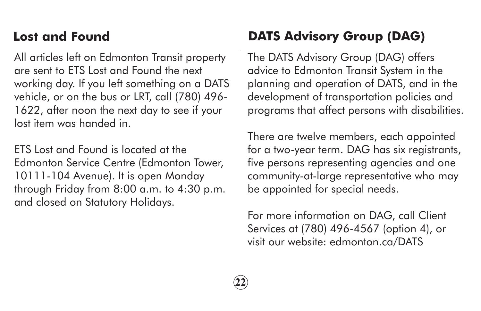# **Lost and Found**

All articles left on Edmonton Transit property are sent to ETS Lost and Found the next working day. If you left something on a DATS vehicle, or on the bus or LRT, call (780) 496- 1622, after noon the next day to see if your lost item was handed in.

ETS Lost and Found is located at the Edmonton Service Centre (Edmonton Tower, 10111-104 Avenue). It is open Monday through Friday from 8:00 a.m. to 4:30 p.m. and closed on Statutory Holidays.

# **DATS Advisory Group (DAG)**

The DATS Advisory Group (DAG) offers advice to Edmonton Transit System in the planning and operation of DATS, and in the development of transportation policies and programs that affect persons with disabilities.

There are twelve members, each appointed for a two-year term. DAG has six registrants, five persons representing agencies and one community-at-large representative who may be appointed for special needs.

For more information on DAG, call Client Services at (780) 496-4567 (option 4), or visit our website: edmonton.ca/DATS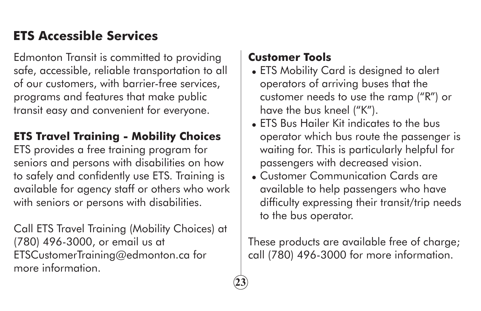# **ETS Accessible Services**

Edmonton Transit is committed to providing safe, accessible, reliable transportation to all of our customers, with barrier-free services, programs and features that make public transit easy and convenient for everyone.

#### **ETS Travel Training - Mobility Choices**

ETS provides a free training program for seniors and persons with disabilities on how to safely and confidently use ETS. Training is available for agency staff or others who work with seniors or persons with disabilities.

Call ETS Travel Training (Mobility Choices) at (780) 496-3000, or email us at ETSCustomerTraining@edmonton.ca for more information.

#### **Customer Tools**

**23**

- ETS Mobility Card is designed to alert operators of arriving buses that the customer needs to use the ramp ("R") or have the bus kneel ("K").
- ETS Bus Hailer Kit indicates to the bus operator which bus route the passenger is waiting for. This is particularly helpful for passengers with decreased vision.
- <sup>=</sup> Customer Communication Cards are available to help passengers who have difficulty expressing their transit/trip needs to the bus operator.

These products are available free of charge; call (780) 496-3000 for more information.